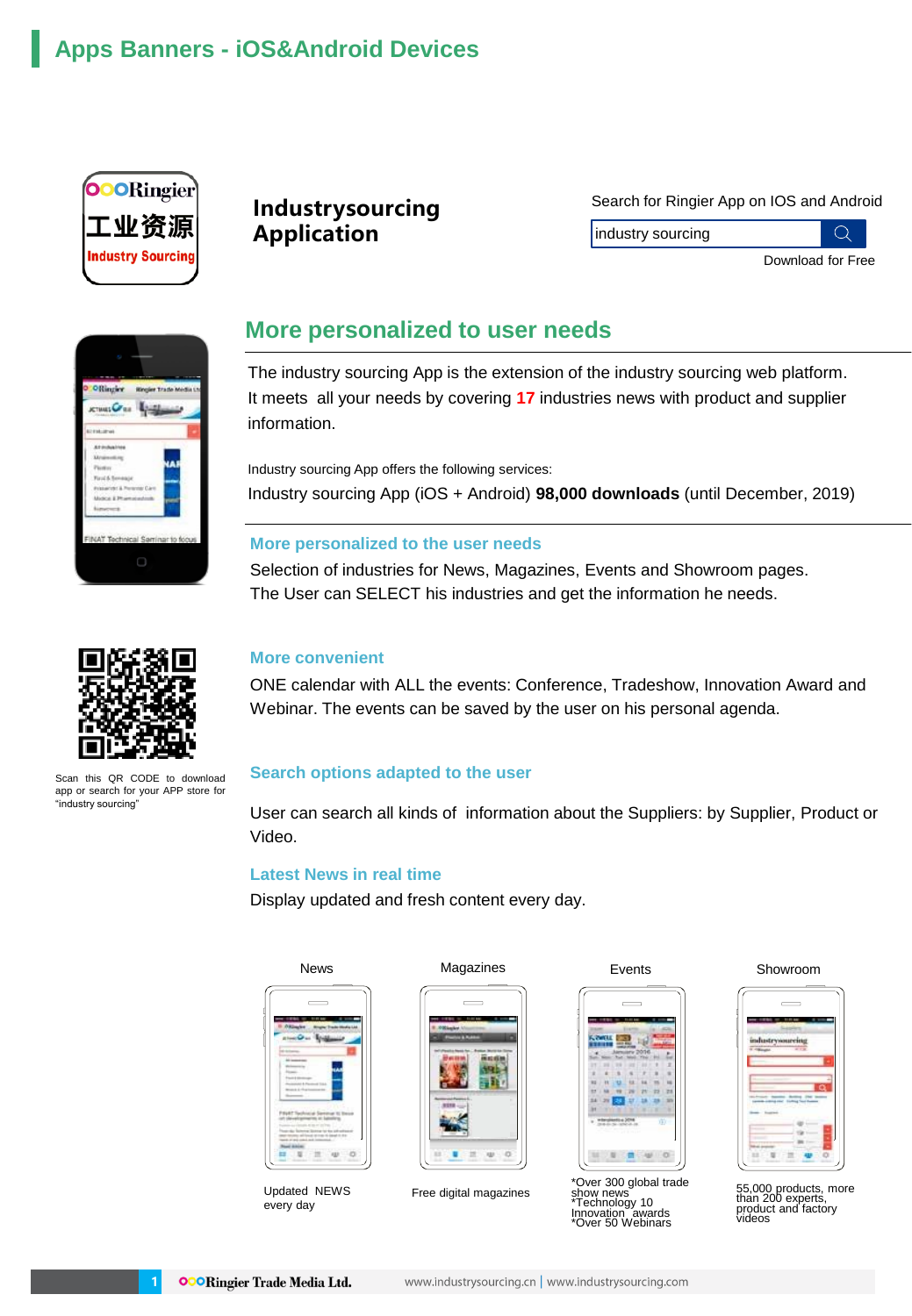# **Apps Banners - iOS&Android Devices**



## **Industrysourcing Application**

#### Search for Ringier App on IOS and Android

industry sourcing

 $\bigcirc$ Download for Free



## **More personalized to user needs**

The industry sourcing App is the extension of the industry sourcing web platform. It meets all your needs by covering **17** industries news with product and supplier information.

Industry sourcing App offers the following services: Industry sourcing App (iOS + Android) **98,000 downloads** (until December, 2019)

### **More personalized to the user needs**

Selection of industries for News, Magazines, Events and Showroom pages. The User can SELECT his industries and get the information he needs.



**More convenient**

ONE calendar with ALL the events: Conference, Tradeshow, Innovation Award and Webinar. The events can be saved by the user on his personal agenda.

### **Search options adapted to the user**

User can search all kinds of information about the Suppliers: by Supplier, Product or Video.

#### **Latest News in real time**

Display updated and fresh content every day.



Updated NEWS every day



Free digital magazines



Events

\*Over 300 global trade show news \*Technology 10 Innovation awards<br>\*Over 50 Webinars

Showroom

|          |         | $\cdots$ |   |
|----------|---------|----------|---|
| industry | sourcin | $-$      |   |
|          |         |          |   |
|          |         |          |   |
|          |         |          |   |
|          |         |          |   |
|          |         |          | ŕ |

55,000 products, more than 200 experts, product and factory videos



Scan this QR CODE to download app or search for your APP store for "industry sourcing"

**1**

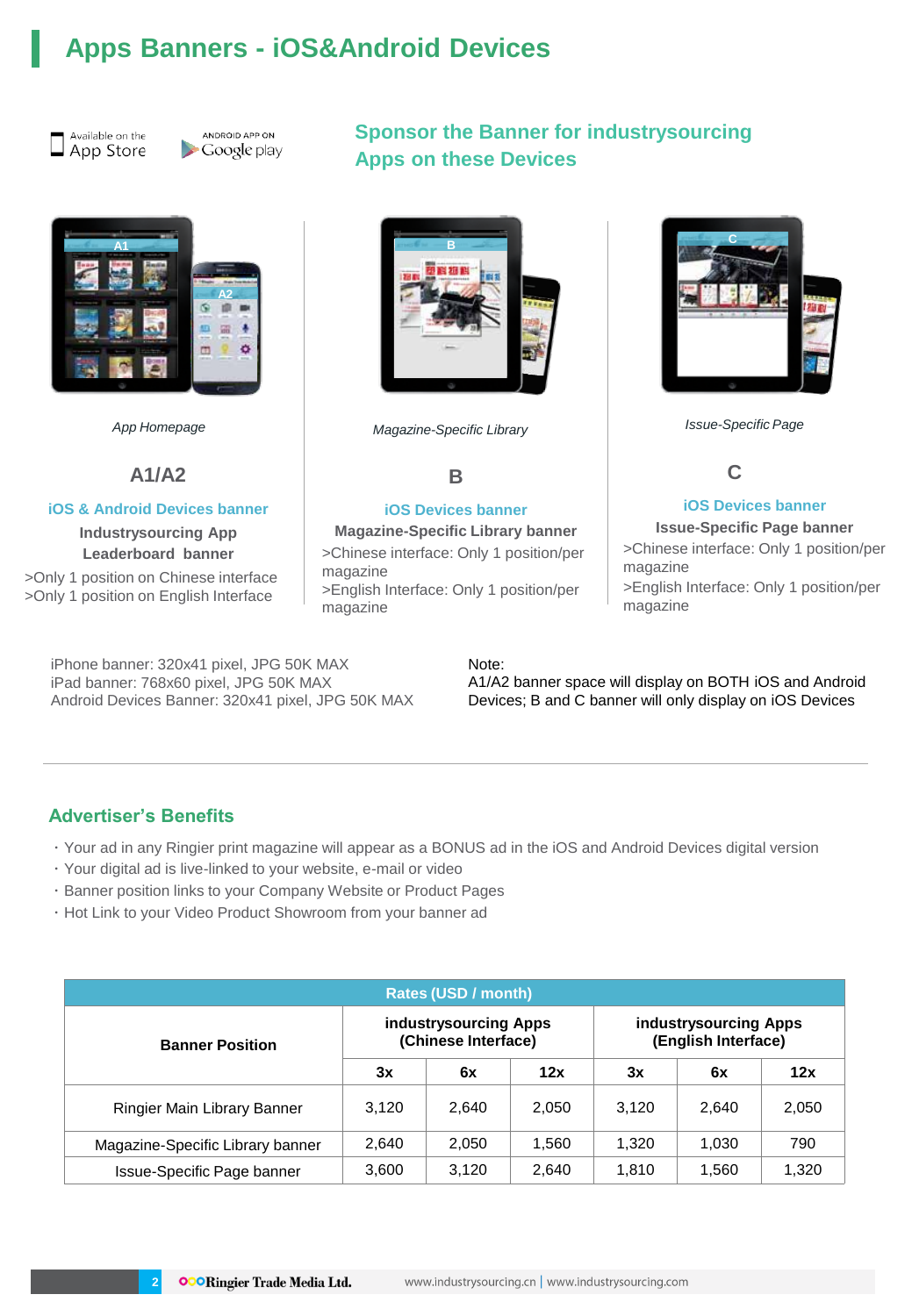# **Apps Banners - iOS&Android Devices**





# **A1 A2** ٠ ö m

**A1/A2**

#### **iOS & Android Devices banner**

**Industrysourcing App Leaderboard banner**

>Only 1 position on Chinese interface >Only 1 position on English Interface

iPhone banner: 320x41 pixel, JPG 50K MAX iPad banner: 768x60 pixel, JPG 50K MAX Android Devices Banner: 320x41 pixel, JPG 50K MAX

## **Sponsor the Banner for industrysourcing Apps on these Devices**



*App Homepage Magazine-Specific Library Issue-Specific Page*

### **B**

#### **iOS Devices banner**

**Magazine-Specific Library banner** >Chinese interface: Only 1 position/per magazine >English Interface: Only 1 position/per

magazine



## **C**

#### **iOS Devices banner**

**Issue-Specific Page banner** >Chinese interface: Only 1 position/per magazine >English Interface: Only 1 position/per

magazine

Note:

A1/A2 banner space will display on BOTH iOS and Android Devices; B and C banner will only display on iOS Devices

### **Advertiser's Benefits**

**2**

- ・Your ad in any Ringier print magazine will appear as a BONUS ad in the iOS and Android Devices digital version
- ・Your digital ad is live-linked to your website, e-mail or video
- ・Banner position links to your Company Website or Product Pages
- ・Hot Link to your Video Product Showroom from your banner ad

| Rates (USD / month)              |                                              |       |       |                                              |       |       |  |  |
|----------------------------------|----------------------------------------------|-------|-------|----------------------------------------------|-------|-------|--|--|
| <b>Banner Position</b>           | industrysourcing Apps<br>(Chinese Interface) |       |       | industrysourcing Apps<br>(English Interface) |       |       |  |  |
|                                  | 3x                                           | 6x    | 12x   | 3x                                           | 6x    | 12x   |  |  |
| Ringier Main Library Banner      | 3,120                                        | 2.640 | 2.050 | 3.120                                        | 2.640 | 2,050 |  |  |
| Magazine-Specific Library banner | 2.640                                        | 2.050 | 1.560 | 1.320                                        | 1.030 | 790   |  |  |
| Issue-Specific Page banner       | 3,600                                        | 3.120 | 2.640 | 1.810                                        | 1,560 | 1,320 |  |  |